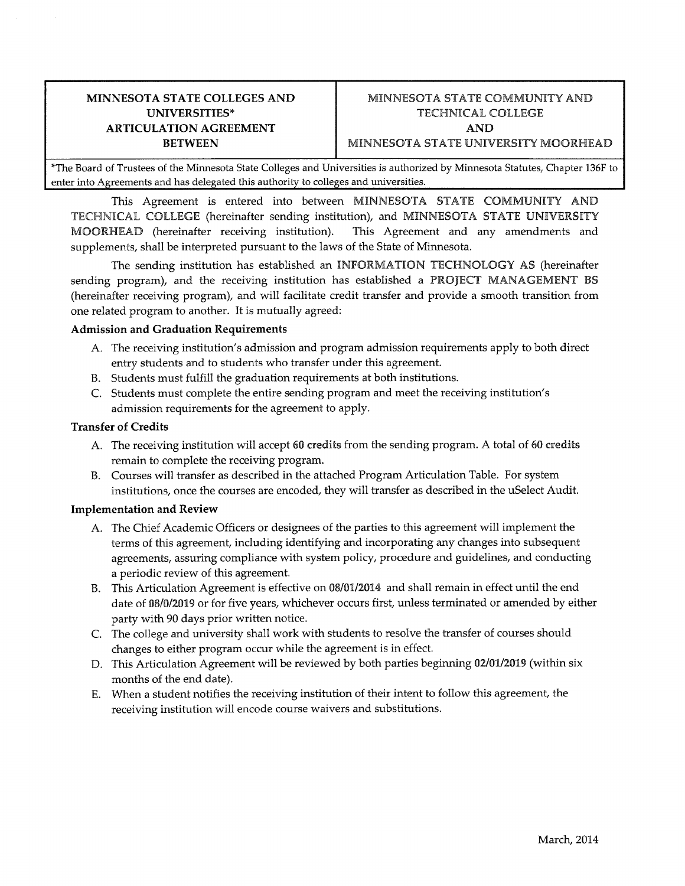# **ARTICULATION AGREEMENT** AND

## **MINNESOTA STATE COLLEGES AND**  $\qquad$  **MINNESOTA STATE COMMUNITY AND UNIVERSITIES\*** TECHNICAL COLLEGE **BETWEEN** MINNESOTA STATE UNIVERSITY MOORHEAD

\*The Board of Trustees of the Minnesota State Colleges and Universities is authorized by Minnesota Statutes, Chapter 136F to enter into Agreements and has delegated this authority to colleges and universities.

This Agreement is entered into between MINNESOTA STATE COMMUNITY AND TECHNICAL COLLEGE (hereinafter sending institution), and MINNESOTA STATE UNIVERSITY MOORHEAD (hereinafter receiving institution). This Agreement and any amendments and supplements, shall be interpreted pursuant to the laws of the State of Minnesota.

The sending institution has established an INFORMATION TECHNOLOGY AS (hereinafter sending program), and the receiving institution has established a PROJECT MANAGEMENT BS (hereinafter receiving program), and will facilitate credit transfer and provide a smooth transition from one related program to another. It is mutually agreed:

#### **Admission and Graduation Requirements**

- A. The receiving institution's admission and program admission requirements apply to both direct entry students and to students who transfer under this agreement.
- B. Students must fulfill the graduation requirements at both institutions.
- C. Students must complete the entire sending program and meet the receiving institution's admission requirements for the agreement to apply.

#### **Transfer of Credits**

- A. The receiving institution will accept 60 credits from the sending program. A total of 60 credits remain to complete the receiving program.
- B. Courses will transfer as described in the attached Program Articulation Table. For system institutions, once the courses are encoded, they will transfer as described in the uSelect Audit.

#### **Implementation and Review**

- A. The Chief Academic Officers or designees of the parties to this agreement will implement the terms of this agreement, including identifying and incorporating any changes into subsequent agreements, assuring compliance with system policy, procedure and guidelines, and conducting a periodic review of this agreement.
- B. This Articulation Agreement is effective on 08/01/2014 and shall remain in effect until the end date of 08/0/2019 or for five years, whichever occurs first, unless terminated or amended by either party with 90 days prior written notice.
- C. The college and university shall work with students to resolve the transfer of courses should changes to either program occur while the agreement is in effect.
- D. This Articulation Agreement will be reviewed by both parties beginning 02/01/2019 (within six months of the end date).
- E. When a student notifies the receiving institution of their intent to follow this agreement, the receiving institution will encode course waivers and substitutions.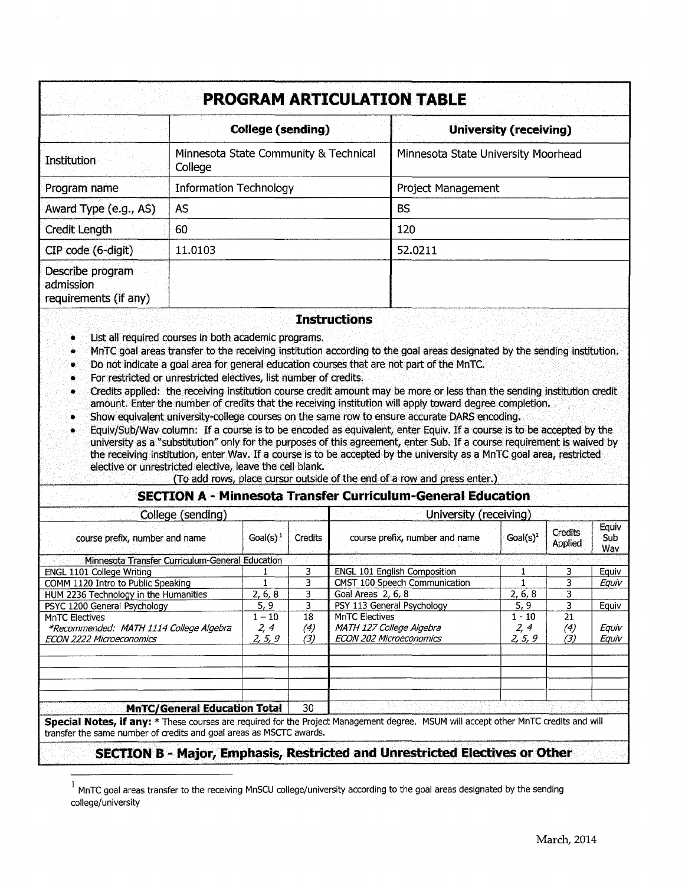| <b>PROGRAM ARTICULATION TABLE</b>                      |                                                                                                                                                                                                                                                                                                                                                                                                                                                                                                                                                                                                                                                                                                                          |                                                                                                                                                                                                                                                                                                                                                                                                                                                                                                       |  |  |  |
|--------------------------------------------------------|--------------------------------------------------------------------------------------------------------------------------------------------------------------------------------------------------------------------------------------------------------------------------------------------------------------------------------------------------------------------------------------------------------------------------------------------------------------------------------------------------------------------------------------------------------------------------------------------------------------------------------------------------------------------------------------------------------------------------|-------------------------------------------------------------------------------------------------------------------------------------------------------------------------------------------------------------------------------------------------------------------------------------------------------------------------------------------------------------------------------------------------------------------------------------------------------------------------------------------------------|--|--|--|
|                                                        | <b>College (sending)</b>                                                                                                                                                                                                                                                                                                                                                                                                                                                                                                                                                                                                                                                                                                 | <b>University (receiving)</b>                                                                                                                                                                                                                                                                                                                                                                                                                                                                         |  |  |  |
| Institution                                            | Minnesota State Community & Technical<br>College                                                                                                                                                                                                                                                                                                                                                                                                                                                                                                                                                                                                                                                                         | Minnesota State University Moorhead                                                                                                                                                                                                                                                                                                                                                                                                                                                                   |  |  |  |
| Program name                                           | <b>Information Technology</b>                                                                                                                                                                                                                                                                                                                                                                                                                                                                                                                                                                                                                                                                                            | Project Management                                                                                                                                                                                                                                                                                                                                                                                                                                                                                    |  |  |  |
| Award Type (e.g., AS)                                  | AS                                                                                                                                                                                                                                                                                                                                                                                                                                                                                                                                                                                                                                                                                                                       | <b>BS</b>                                                                                                                                                                                                                                                                                                                                                                                                                                                                                             |  |  |  |
| Credit Length                                          | 60                                                                                                                                                                                                                                                                                                                                                                                                                                                                                                                                                                                                                                                                                                                       | 120                                                                                                                                                                                                                                                                                                                                                                                                                                                                                                   |  |  |  |
| CIP code (6-digit)                                     | 11.0103                                                                                                                                                                                                                                                                                                                                                                                                                                                                                                                                                                                                                                                                                                                  | 52.0211                                                                                                                                                                                                                                                                                                                                                                                                                                                                                               |  |  |  |
| Describe program<br>admission<br>requirements (if any) |                                                                                                                                                                                                                                                                                                                                                                                                                                                                                                                                                                                                                                                                                                                          |                                                                                                                                                                                                                                                                                                                                                                                                                                                                                                       |  |  |  |
| ۰<br>۰<br>۰<br>۰<br>۰                                  | <b>Instructions</b><br>List all required courses in both academic programs.<br>Do not indicate a goal area for general education courses that are not part of the MnTC.<br>For restricted or unrestricted electives, list number of credits.<br>amount. Enter the number of credits that the receiving institution will apply toward degree completion.<br>Show equivalent university-college courses on the same row to ensure accurate DARS encoding,<br>the receiving institution, enter Wav. If a course is to be accepted by the university as a MnTC goal area, restricted<br>elective or unrestricted elective, leave the cell blank.<br>(To add rows, place cursor outside of the end of a row and press enter.) | MnTC goal areas transfer to the receiving institution according to the goal areas designated by the sending institution.<br>Credits applied: the receiving institution course credit amount may be more or less than the sending institution credit<br>Equiv/Sub/Wav column: If a course is to be encoded as equivalent, enter Equiv. If a course is to be accepted by the<br>university as a "substitution" only for the purposes of this agreement, enter Sub. If a course requirement is waived by |  |  |  |

### **SECTION A - Minnesota Transfer Curriculum-General Education**

| College (sending)                               |             |         | University (receiving)              |             |                    |                     |
|-------------------------------------------------|-------------|---------|-------------------------------------|-------------|--------------------|---------------------|
| course prefix, number and name                  | $Goal(s)^1$ | Credits | course prefix, number and name      | $Goal(s)^1$ | Credits<br>Applied | Equiv<br>Sub<br>Wav |
| Minnesota Transfer Curriculum-General Education |             |         |                                     |             |                    |                     |
| ENGL 1101 College Writing                       |             | 3       | <b>ENGL 101 English Composition</b> |             | 3                  | Equiv               |
| COMM 1120 Intro to Public Speaking              |             | 3       | CMST 100 Speech Communication       |             |                    | Equiv               |
| HUM 2236 Technology in the Humanities           | 2, 6, 8     | 3       | Goal Areas 2, 6, 8                  | 2, 6, 8     |                    |                     |
| PSYC 1200 General Psychology                    | 5, 9        | 3       | PSY 113 General Psychology          | 5, 9        |                    | Equiv               |
| <b>MnTC Electives</b>                           | $1 - 10$    | 18      | <b>MnTC Electives</b>               | $1 - 10$    | 21                 |                     |
| *Recommended: MATH 1114 College Algebra         | 2, 4        | (4)     | MATH 127 College Algebra            | 2, 4        | (4)                | Equiv               |
| <b>ECON 2222 Microeconomics</b>                 | 2, 5, 9     | (3)     | <b>ECON 202 Microeconomics</b>      | 2, 5, 9     | (3)                | Equiv               |
|                                                 |             |         |                                     |             |                    |                     |
| <b>MnTC/General Education Total</b>             |             | 30      |                                     |             |                    |                     |

transfer the same number of credits and goal areas as MSCTC awards.

## **SECTION B - Major, Emphasis, Restricted and Unrestricted Electives or Other**

 $1$  MnTC goal areas transfer to the receiving MnSCU college/university according to the goal areas designated by the sending college/university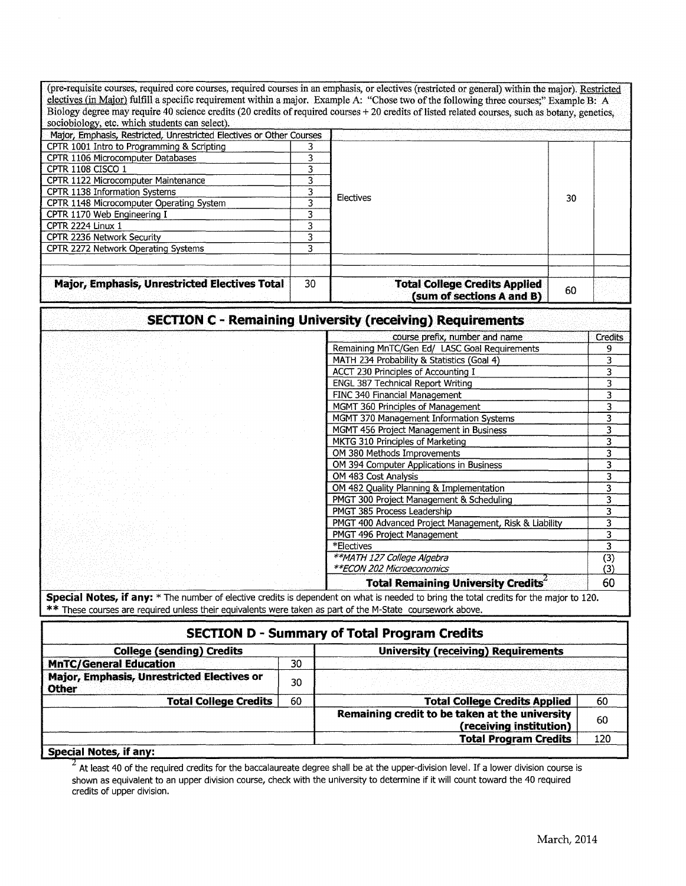| (pre-requisite courses, required core courses, required courses in an emphasis, or electives (restricted or general) within the major). Restricted                                                                                                    |                                            |                                                                  |                         |                           |
|-------------------------------------------------------------------------------------------------------------------------------------------------------------------------------------------------------------------------------------------------------|--------------------------------------------|------------------------------------------------------------------|-------------------------|---------------------------|
| electives (in Major) fulfill a specific requirement within a major. Example A: "Chose two of the following three courses;" Example B: A                                                                                                               |                                            |                                                                  |                         |                           |
| Biology degree may require 40 science credits (20 credits of required courses + 20 credits of listed related courses, such as botany, genetics,                                                                                                       |                                            |                                                                  |                         |                           |
| sociobiology, etc. which students can select).                                                                                                                                                                                                        |                                            |                                                                  |                         |                           |
| Major, Emphasis, Restricted, Unrestricted Electives or Other Courses                                                                                                                                                                                  |                                            |                                                                  |                         |                           |
| CPTR 1001 Intro to Programming & Scripting                                                                                                                                                                                                            | 3                                          |                                                                  |                         |                           |
| CPTR 1106 Microcomputer Databases                                                                                                                                                                                                                     | 3                                          |                                                                  |                         |                           |
| CPTR 1108 CISCO 1                                                                                                                                                                                                                                     | 3                                          | Electives<br>30                                                  |                         |                           |
| CPTR 1122 Microcomputer Maintenance                                                                                                                                                                                                                   | 3                                          |                                                                  |                         |                           |
| CPTR 1138 Information Systems                                                                                                                                                                                                                         | 3                                          |                                                                  |                         |                           |
| CPTR 1148 Microcomputer Operating System                                                                                                                                                                                                              | $\overline{\mathbf{3}}$                    |                                                                  |                         |                           |
| CPTR 1170 Web Engineering I                                                                                                                                                                                                                           | 3<br>$\overline{3}$                        |                                                                  |                         |                           |
| CPTR 2224 Linux 1<br>CPTR 2236 Network Security                                                                                                                                                                                                       | $\overline{\mathbf{3}}$                    |                                                                  |                         |                           |
| CPTR 2272 Network Operating Systems                                                                                                                                                                                                                   | 3                                          |                                                                  |                         |                           |
|                                                                                                                                                                                                                                                       |                                            |                                                                  |                         |                           |
| <b>Major, Emphasis, Unrestricted Electives Total</b>                                                                                                                                                                                                  | 30                                         | <b>Total College Credits Applied</b>                             |                         |                           |
|                                                                                                                                                                                                                                                       |                                            | (sum of sections A and B)                                        | 60                      |                           |
|                                                                                                                                                                                                                                                       |                                            | <b>SECTION C - Remaining University (receiving) Requirements</b> |                         |                           |
|                                                                                                                                                                                                                                                       |                                            | course prefix, number and name                                   |                         | <b>Credits</b>            |
|                                                                                                                                                                                                                                                       |                                            | Remaining MnTC/Gen Ed/ LASC Goal Requirements                    |                         | 9                         |
|                                                                                                                                                                                                                                                       |                                            | MATH 234 Probability & Statistics (Goal 4)                       |                         | 3                         |
|                                                                                                                                                                                                                                                       | <b>ACCT 230 Principles of Accounting I</b> |                                                                  | $\overline{\mathbf{3}}$ |                           |
|                                                                                                                                                                                                                                                       |                                            | <b>ENGL 387 Technical Report Writing</b>                         |                         | $\overline{\mathbf{3}}$   |
|                                                                                                                                                                                                                                                       |                                            | FINC 340 Financial Management                                    |                         | 3                         |
|                                                                                                                                                                                                                                                       |                                            | MGMT 360 Principles of Management                                |                         | $\overline{\mathbf{3}}$   |
|                                                                                                                                                                                                                                                       |                                            | MGMT 370 Management Information Systems                          |                         | $\overline{\overline{3}}$ |
|                                                                                                                                                                                                                                                       |                                            | MGMT 456 Project Management in Business                          |                         | $\overline{\mathbf{3}}$   |
|                                                                                                                                                                                                                                                       |                                            | MKTG 310 Principles of Marketing                                 |                         | $\overline{\mathbf{3}}$   |
|                                                                                                                                                                                                                                                       |                                            | OM 380 Methods Improvements                                      |                         | $\overline{\mathbf{3}}$   |
|                                                                                                                                                                                                                                                       |                                            | OM 394 Computer Applications in Business                         |                         | $\overline{\mathbf{3}}$   |
|                                                                                                                                                                                                                                                       |                                            | OM 483 Cost Analysis                                             |                         | $\overline{\mathbf{3}}$   |
|                                                                                                                                                                                                                                                       |                                            | OM 482 Quality Planning & Implementation                         |                         | 3                         |
|                                                                                                                                                                                                                                                       |                                            | PMGT 300 Project Management & Scheduling                         |                         | $\overline{3}$            |
|                                                                                                                                                                                                                                                       |                                            | PMGT 385 Process Leadership                                      |                         | $\overline{\mathbf{3}}$   |
|                                                                                                                                                                                                                                                       |                                            | PMGT 400 Advanced Project Management, Risk & Liability           |                         | $\overline{\mathbf{3}}$   |
|                                                                                                                                                                                                                                                       |                                            | PMGT 496 Project Management                                      |                         | 3                         |
|                                                                                                                                                                                                                                                       |                                            | *Electives                                                       |                         | $\overline{\mathbf{3}}$   |
|                                                                                                                                                                                                                                                       |                                            | **MATH 127 College Algebra                                       |                         | $\overline{$ (3)          |
|                                                                                                                                                                                                                                                       |                                            | **ECON 202 Microeconomics                                        |                         | (3)                       |
|                                                                                                                                                                                                                                                       |                                            | Total Remaining University Credits                               |                         | 60                        |
| Special Notes, if any: * The number of elective credits is dependent on what is needed to bring the total credits for the major to 120.<br>** These courses are required unless their equivalents were taken as part of the M-State coursework above. |                                            |                                                                  |                         |                           |
|                                                                                                                                                                                                                                                       |                                            | <b>SECTION D - Summary of Total Program Credits</b>              |                         |                           |
| <b>College (sending) Credits</b>                                                                                                                                                                                                                      |                                            | <b>University (receiving) Requirements</b>                       |                         |                           |
| <b>MnTC/General Education</b>                                                                                                                                                                                                                         | 30                                         |                                                                  |                         |                           |
| Major, Emphasis, Unrestricted Electives or<br><b>Other</b>                                                                                                                                                                                            | 30                                         |                                                                  |                         |                           |
| <b>Total College Credits</b>                                                                                                                                                                                                                          | 60                                         | <b>Total College Credits Applied</b>                             |                         | 60                        |

**Special Notes, if any:** 

 $\frac{2}{2}$  At least 40 of the required credits for the baccalaureate degree shall be at the upper-division level. If a lower division course is shown as equivalent to an upper division course, check with the university to determine if it will count toward the 40 required credits of upper division.

60 120

**Remaining credit to be taken at the university** 

**(receiving institution) Total Program Credits**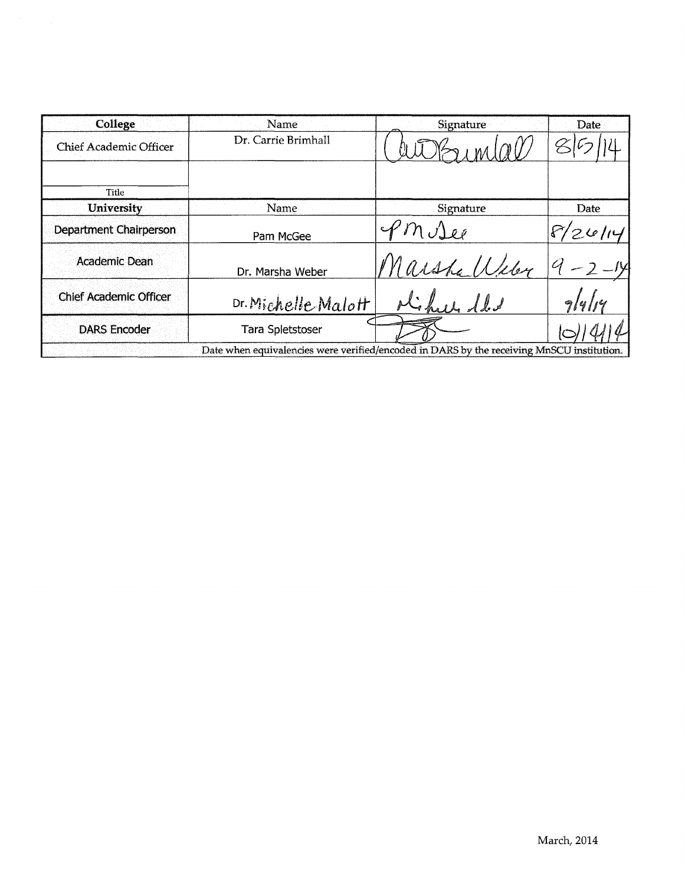| College                       | Name                                                                                      | Signature       | Date      |
|-------------------------------|-------------------------------------------------------------------------------------------|-----------------|-----------|
| <b>Chief Academic Officer</b> | Dr. Carrie Brimhall                                                                       |                 |           |
| Title                         |                                                                                           |                 |           |
| <b>University</b>             | Name                                                                                      | Signature       | Date      |
| Department Chairperson        | Pam McGee                                                                                 | $^{\rho}$ M Dee | $'2$ 6/14 |
| Academic Dean                 | Dr. Marsha Weber                                                                          | Marsha Wiley    |           |
| <b>Chief Academic Officer</b> | Dr. Michelle Malott                                                                       |                 | 914114    |
| <b>DARS Encoder</b>           | <b>Tara Spletstoser</b>                                                                   |                 |           |
|                               | Date when equivalencies were verified/encoded in DARS by the receiving MnSCU institution. |                 |           |